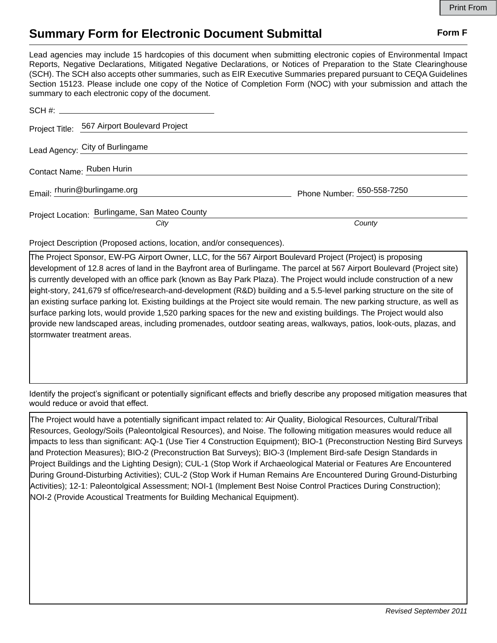## **Summary Form for Electronic Document Submittal Form F Form F**

Lead agencies may include 15 hardcopies of this document when submitting electronic copies of Environmental Impact Reports, Negative Declarations, Mitigated Negative Declarations, or Notices of Preparation to the State Clearinghouse (SCH). The SCH also accepts other summaries, such as EIR Executive Summaries prepared pursuant to CEQA Guidelines Section 15123. Please include one copy of the Notice of Completion Form (NOC) with your submission and attach the summary to each electronic copy of the document.

| Project Title: 567 Airport Boulevard Project   |                            |
|------------------------------------------------|----------------------------|
| Lead Agency: City of Burlingame                |                            |
| Contact Name: Ruben Hurin                      |                            |
| Email: thurin@burlingame.org                   | Phone Number: 650-558-7250 |
| Project Location: Burlingame, San Mateo County |                            |
| City                                           | County                     |

Project Description (Proposed actions, location, and/or consequences).

The Project Sponsor, EW-PG Airport Owner, LLC, for the 567 Airport Boulevard Project (Project) is proposing development of 12.8 acres of land in the Bayfront area of Burlingame. The parcel at 567 Airport Boulevard (Project site) is currently developed with an office park (known as Bay Park Plaza). The Project would include construction of a new eight-story, 241,679 sf office/research-and-development (R&D) building and a 5.5-level parking structure on the site of an existing surface parking lot. Existing buildings at the Project site would remain. The new parking structure, as well as surface parking lots, would provide 1,520 parking spaces for the new and existing buildings. The Project would also provide new landscaped areas, including promenades, outdoor seating areas, walkways, patios, look-outs, plazas, and stormwater treatment areas.

Identify the project's significant or potentially significant effects and briefly describe any proposed mitigation measures that would reduce or avoid that effect.

The Project would have a potentially significant impact related to: Air Quality, Biological Resources, Cultural/Tribal Resources, Geology/Soils (Paleontolgical Resources), and Noise. The following mitigation measures would reduce all impacts to less than significant: AQ-1 (Use Tier 4 Construction Equipment); BIO-1 (Preconstruction Nesting Bird Surveys and Protection Measures); BIO-2 (Preconstruction Bat Surveys); BIO-3 (Implement Bird-safe Design Standards in Project Buildings and the Lighting Design); CUL-1 (Stop Work if Archaeological Material or Features Are Encountered During Ground-Disturbing Activities); CUL-2 (Stop Work if Human Remains Are Encountered During Ground-Disturbing Activities); 12-1: Paleontolgical Assessment; NOI-1 (Implement Best Noise Control Practices During Construction); NOI-2 (Provide Acoustical Treatments for Building Mechanical Equipment).